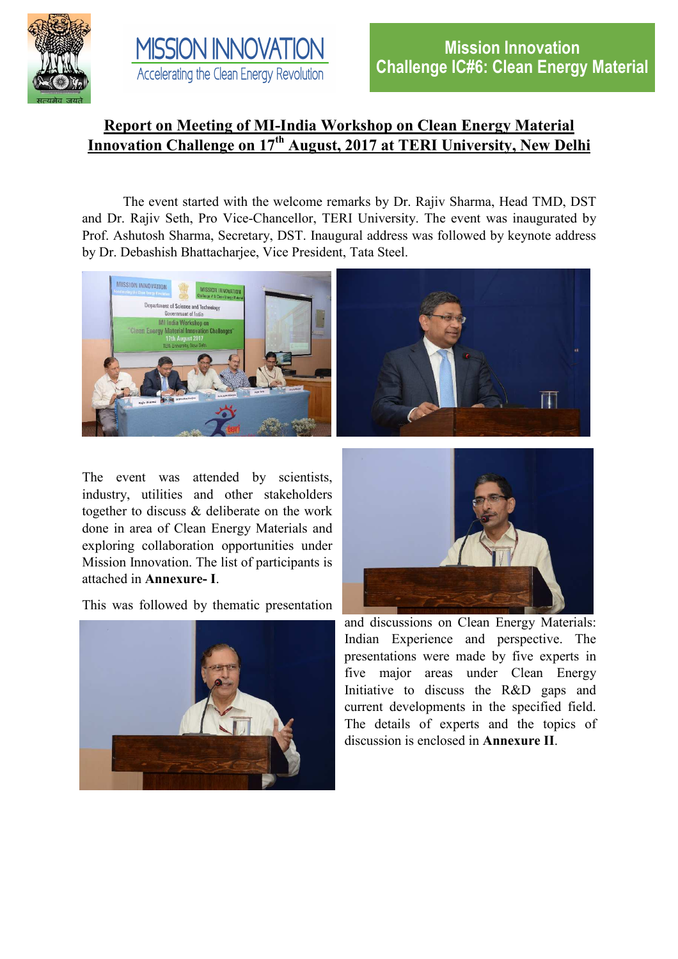



## **Report on Meeting of MI-India Workshop on Clean Energy Material Innovation Challenge on 17th August, 2017 at TERI University, New Delhi**

The event started with the welcome remarks by Dr. Rajiv Sharma, Head TMD, DST and Dr. Rajiv Seth, Pro Vice-Chancellor, TERI University. The event was inaugurated by Prof. Ashutosh Sharma, Secretary, DST. Inaugural address was followed by keynote address by Dr. Debashish Bhattacharjee, Vice President, Tata Steel.



The event was attended by scientists, industry, utilities and other stakeholders together to discuss & deliberate on the work done in area of Clean Energy Materials and exploring collaboration opportunities under Mission Innovation. The list of participants is attached in **Annexure- I**.

This was followed by thematic presentation





and discussions on Clean Energy Materials: Indian Experience and perspective. The presentations were made by five experts in five major areas under Clean Energy Initiative to discuss the R&D gaps and current developments in the specified field. The details of experts and the topics of discussion is enclosed in **Annexure II**.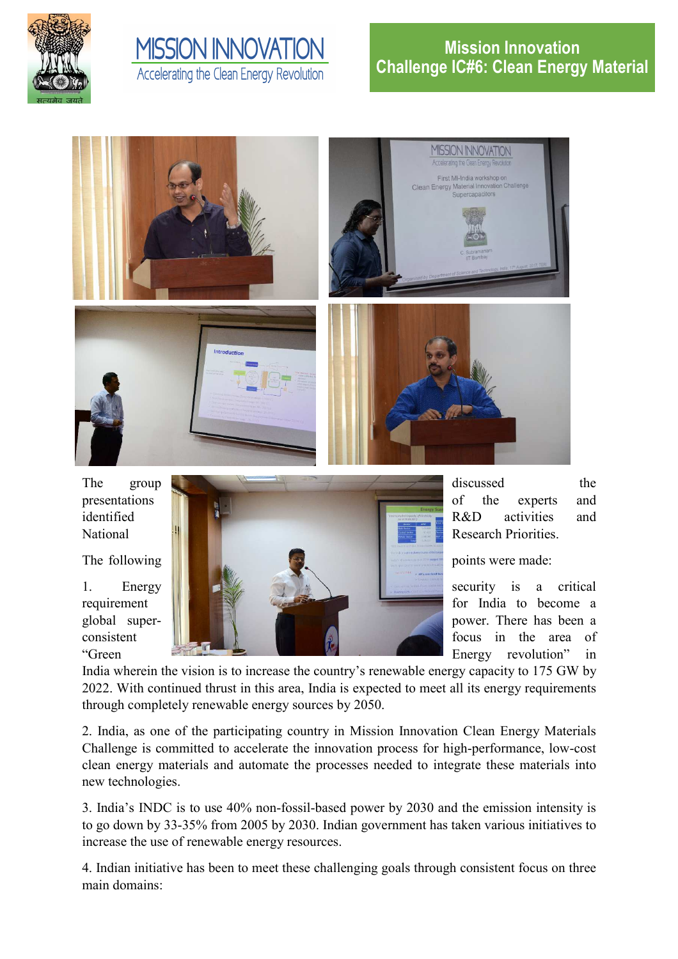

# **MISSION INNOVATION** Accelerating the Clean Energy Revolution





India wherein the vision is to increase the country's renewable energy capacity to 175 GW by 2022. With continued thrust in this area, India is expected to meet all its energy requirements through completely renewable energy sources by 2050.

2. India, as one of the participating country in Mission Innovation Clean Energy Materials Challenge is committed to accelerate the innovation process for high-performance, low-cost clean energy materials and automate the processes needed to integrate these materials into new technologies.

3. India's INDC is to use 40% non-fossil-based power by 2030 and the emission intensity is to go down by 33-35% from 2005 by 2030. Indian government has taken various initiatives to increase the use of renewable energy resources.

4. Indian initiative has been to meet these challenging goals through consistent focus on three main domains: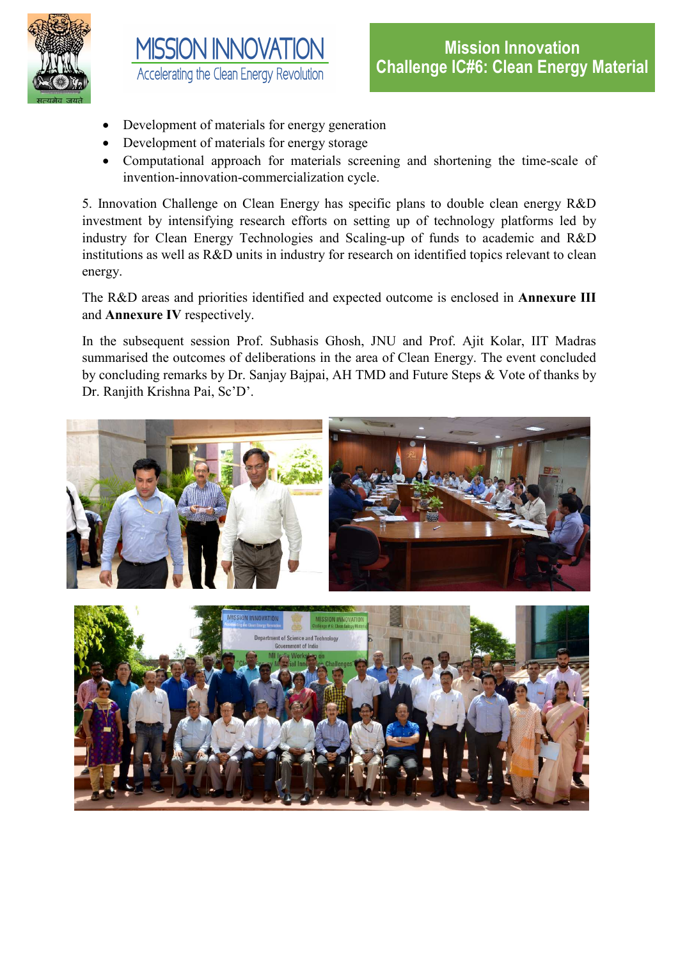



- Development of materials for energy generation
- Development of materials for energy storage
- Computational approach for materials screening and shortening the time-scale of invention-innovation-commercialization cycle.

5. Innovation Challenge on Clean Energy has specific plans to double clean energy R&D investment by intensifying research efforts on setting up of technology platforms led by industry for Clean Energy Technologies and Scaling-up of funds to academic and R&D institutions as well as R&D units in industry for research on identified topics relevant to clean energy.

The R&D areas and priorities identified and expected outcome is enclosed in **Annexure III**  and **Annexure IV** respectively.

In the subsequent session Prof. Subhasis Ghosh, JNU and Prof. Ajit Kolar, IIT Madras summarised the outcomes of deliberations in the area of Clean Energy. The event concluded by concluding remarks by Dr. Sanjay Bajpai, AH TMD and Future Steps & Vote of thanks by Dr. Ranjith Krishna Pai, Sc'D'.

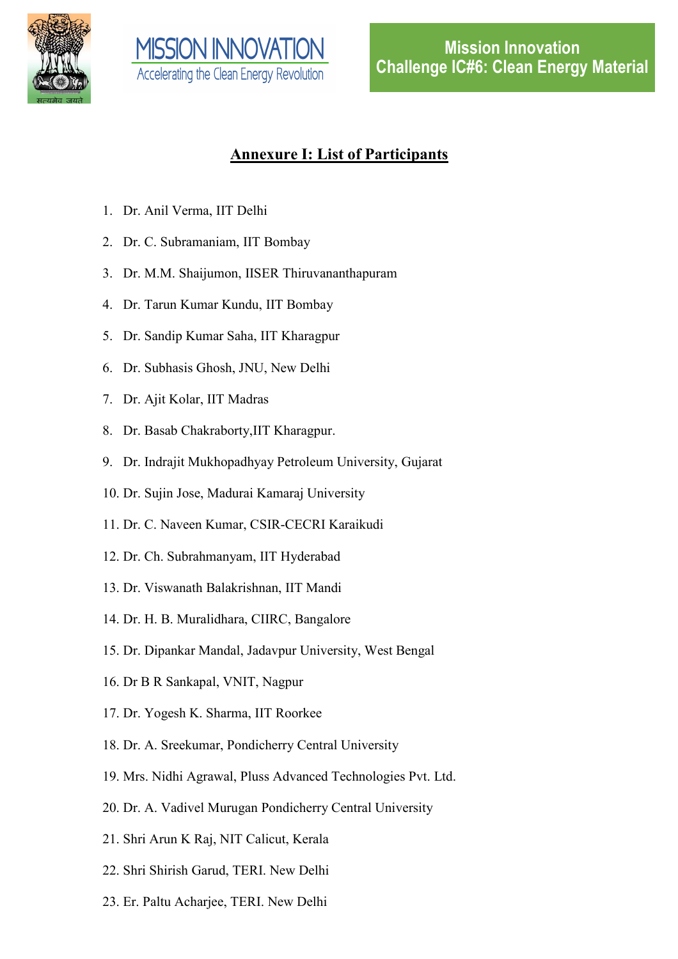



## **Annexure I: List of Participants**

- 1. Dr. Anil Verma, IIT Delhi
- 2. Dr. C. Subramaniam, IIT Bombay
- 3. Dr. M.M. Shaijumon, IISER Thiruvananthapuram
- 4. Dr. Tarun Kumar Kundu, IIT Bombay
- 5. Dr. Sandip Kumar Saha, IIT Kharagpur
- 6. Dr. Subhasis Ghosh, JNU, New Delhi
- 7. Dr. Ajit Kolar, IIT Madras
- 8. Dr. Basab Chakraborty,IIT Kharagpur.
- 9. Dr. Indrajit Mukhopadhyay Petroleum University, Gujarat
- 10. Dr. Sujin Jose, Madurai Kamaraj University
- 11. Dr. C. Naveen Kumar, CSIR-CECRI Karaikudi
- 12. Dr. Ch. Subrahmanyam, IIT Hyderabad
- 13. Dr. Viswanath Balakrishnan, IIT Mandi
- 14. Dr. H. B. Muralidhara, CIIRC, Bangalore
- 15. Dr. Dipankar Mandal, Jadavpur University, West Bengal
- 16. Dr B R Sankapal, VNIT, Nagpur
- 17. Dr. Yogesh K. Sharma, IIT Roorkee
- 18. Dr. A. Sreekumar, Pondicherry Central University
- 19. Mrs. Nidhi Agrawal, Pluss Advanced Technologies Pvt. Ltd.
- 20. Dr. A. Vadivel Murugan Pondicherry Central University
- 21. Shri Arun K Raj, NIT Calicut, Kerala
- 22. Shri Shirish Garud, TERI. New Delhi
- 23. Er. Paltu Acharjee, TERI. New Delhi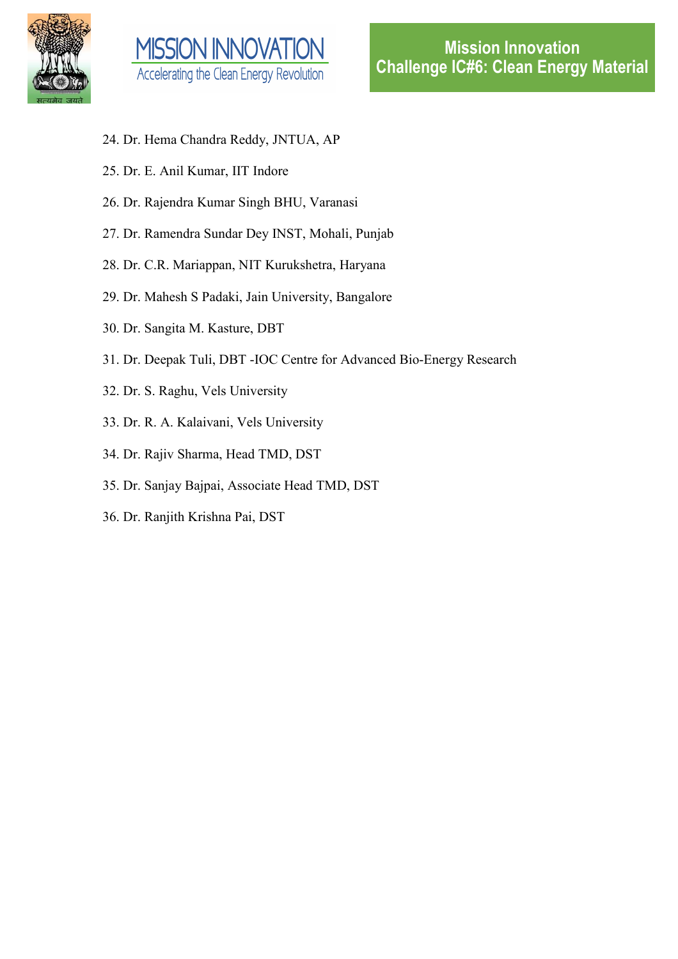



- 24. Dr. Hema Chandra Reddy, JNTUA, AP
- 25. Dr. E. Anil Kumar, IIT Indore
- 26. Dr. Rajendra Kumar Singh BHU, Varanasi
- 27. Dr. Ramendra Sundar Dey INST, Mohali, Punjab
- 28. Dr. C.R. Mariappan, NIT Kurukshetra, Haryana
- 29. Dr. Mahesh S Padaki, Jain University, Bangalore
- 30. Dr. Sangita M. Kasture, DBT
- 31. Dr. Deepak Tuli, DBT -IOC Centre for Advanced Bio-Energy Research
- 32. Dr. S. Raghu, Vels University
- 33. Dr. R. A. Kalaivani, Vels University
- 34. Dr. Rajiv Sharma, Head TMD, DST
- 35. Dr. Sanjay Bajpai, Associate Head TMD, DST
- 36. Dr. Ranjith Krishna Pai, DST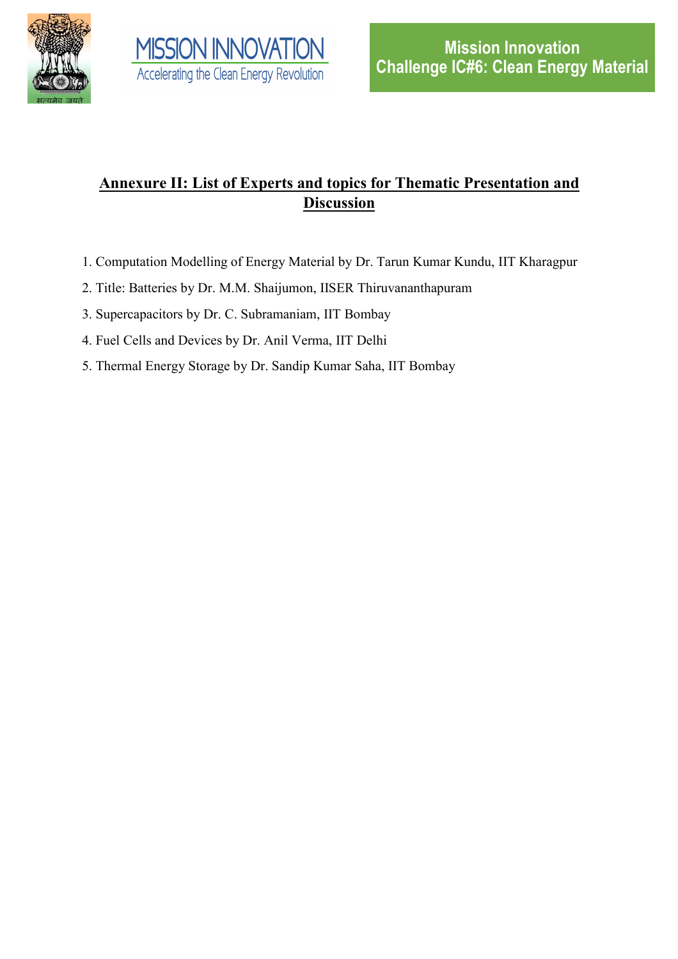



# **Annexure II: List of Experts and topics for Thematic Presentation and Discussion**

- 1. Computation Modelling of Energy Material by Dr. Tarun Kumar Kundu, IIT Kharagpur
- 2. Title: Batteries by Dr. M.M. Shaijumon, IISER Thiruvananthapuram
- 3. Supercapacitors by Dr. C. Subramaniam, IIT Bombay
- 4. Fuel Cells and Devices by Dr. Anil Verma, IIT Delhi
- 5. Thermal Energy Storage by Dr. Sandip Kumar Saha, IIT Bombay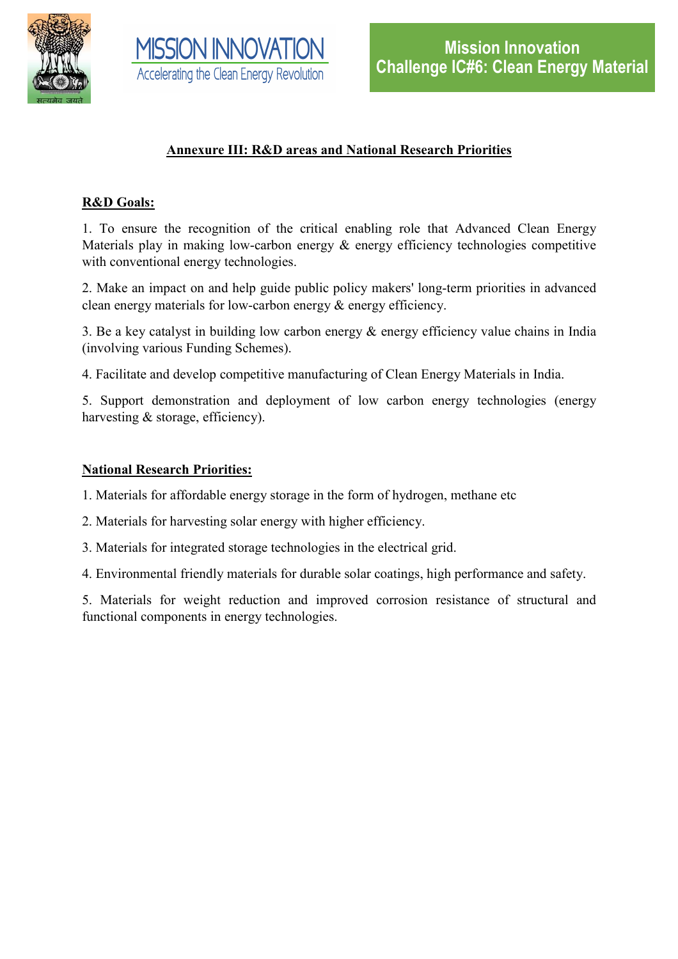



## **Annexure III: R&D areas and National Research Priorities**

### **R&D Goals:**

1. To ensure the recognition of the critical enabling role that Advanced Clean Energy Materials play in making low-carbon energy & energy efficiency technologies competitive with conventional energy technologies.

2. Make an impact on and help guide public policy makers' long-term priorities in advanced clean energy materials for low-carbon energy & energy efficiency.

3. Be a key catalyst in building low carbon energy & energy efficiency value chains in India (involving various Funding Schemes).

4. Facilitate and develop competitive manufacturing of Clean Energy Materials in India.

5. Support demonstration and deployment of low carbon energy technologies (energy harvesting & storage, efficiency).

#### **National Research Priorities:**

1. Materials for affordable energy storage in the form of hydrogen, methane etc

2. Materials for harvesting solar energy with higher efficiency.

3. Materials for integrated storage technologies in the electrical grid.

4. Environmental friendly materials for durable solar coatings, high performance and safety.

5. Materials for weight reduction and improved corrosion resistance of structural and functional components in energy technologies.